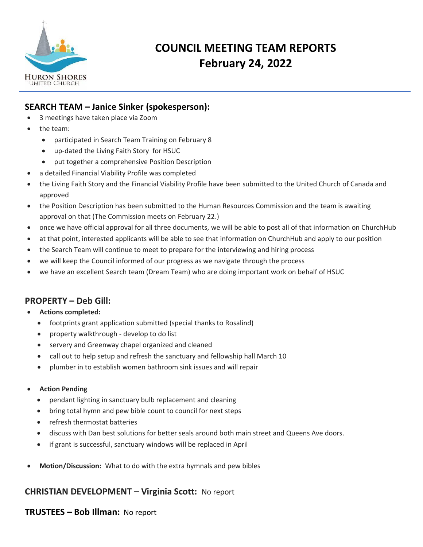

# **COUNCIL MEETING TEAM REPORTS February 24, 2022**

## **SEARCH TEAM – Janice Sinker (spokesperson):**

- 3 meetings have taken place via Zoom
- the team:
	- participated in Search Team Training on February 8
	- up-dated the Living Faith Story for HSUC
	- put together a comprehensive Position Description
- a detailed Financial Viability Profile was completed
- the Living Faith Story and the Financial Viability Profile have been submitted to the United Church of Canada and approved
- the Position Description has been submitted to the Human Resources Commission and the team is awaiting approval on that (The Commission meets on February 22.)
- once we have official approval for all three documents, we will be able to post all of that information on ChurchHub
- at that point, interested applicants will be able to see that information on ChurchHub and apply to our position
- the Search Team will continue to meet to prepare for the interviewing and hiring process
- we will keep the Council informed of our progress as we navigate through the process
- we have an excellent Search team (Dream Team) who are doing important work on behalf of HSUC

## **PROPERTY – Deb Gill:**

- **Actions completed:**
	- footprints grant application submitted (special thanks to Rosalind)
	- property walkthrough develop to do list
	- servery and Greenway chapel organized and cleaned
	- call out to help setup and refresh the sanctuary and fellowship hall March 10
	- plumber in to establish women bathroom sink issues and will repair

#### • **Action Pending**

- pendant lighting in sanctuary bulb replacement and cleaning
- bring total hymn and pew bible count to council for next steps
- refresh thermostat batteries
- discuss with Dan best solutions for better seals around both main street and Queens Ave doors.
- if grant is successful, sanctuary windows will be replaced in April
- **Motion/Discussion:** What to do with the extra hymnals and pew bibles

## **CHRISTIAN DEVELOPMENT – Virginia Scott:** No report

## **TRUSTEES – Bob Illman:** No report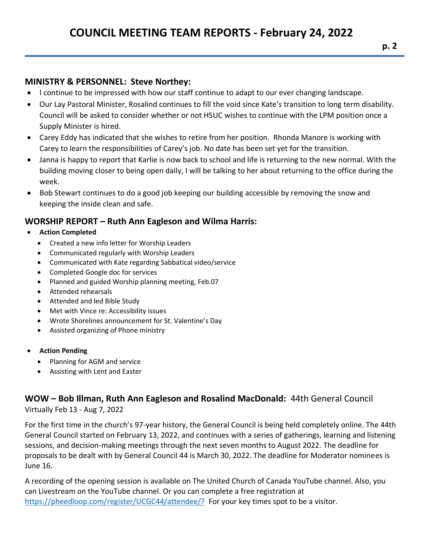## **MINISTRY & PERSONNEL: Steve Northey:**

- I continue to be impressed with how our staff continue to adapt to our ever changing landscape.
- Our Lay Pastoral Minister, Rosalind continues to fill the void since Kate's transition to long term disability. Council will be asked to consider whether or not HSUC wishes to continue with the LPM position once a Supply Minister is hired.
- Carey Eddy has indicated that she wishes to retire from her position. Rhonda Manore is working with Carey to learn the responsibilities of Carey's job. No date has been set yet for the transition.
- Janna is happy to report that Karlie is now back to school and life is returning to the new normal. With the building moving closer to being open daily, I will be talking to her about returning to the office during the week.
- Bob Stewart continues to do a good job keeping our building accessible by removing the snow and keeping the inside clean and safe.

## **WORSHIP REPORT – Ruth Ann Eagleson and Wilma Harris:**

- **Action Completed**
	- Created a new info letter for Worship Leaders
	- Communicated regularly with Worship Leaders
	- Communicated with Kate regarding Sabbatical video/service
	- Completed Google doc for services
	- Planned and guided Worship planning meeting, Feb.07
	- Attended rehearsals
	- Attended and led Bible Study
	- Met with Vince re: Accessibility issues
	- Wrote Shorelines announcement for St. Valentine's Day
	- Assisted organizing of Phone ministry

#### • **Action Pending**

- Planning for AGM and service
- Assisting with Lent and Easter

## **WOW – Bob Illman, Ruth Ann Eagleson and Rosalind MacDonald:** 44th General Council Virtually Feb 13 - Aug 7, 2022

For the first time in the church's 97-year history, the General Council is being held completely online. The 44th General Council started on February 13, 2022, and continues with a series of gatherings, learning and listening sessions, and decision-making meetings through the next seven months to August 2022. The deadline for proposals to be dealt with by General Council 44 is March 30, 2022. The deadline for Moderator nominees is June 16.

A recording of the opening session is available on The United Church of Canada YouTube channel. Also, you can Livestream on the YouTube channel. Or you can complete a free registration at <https://pheedloop.com/register/UCGC44/attendee/?>For your key times spot to be a visitor.